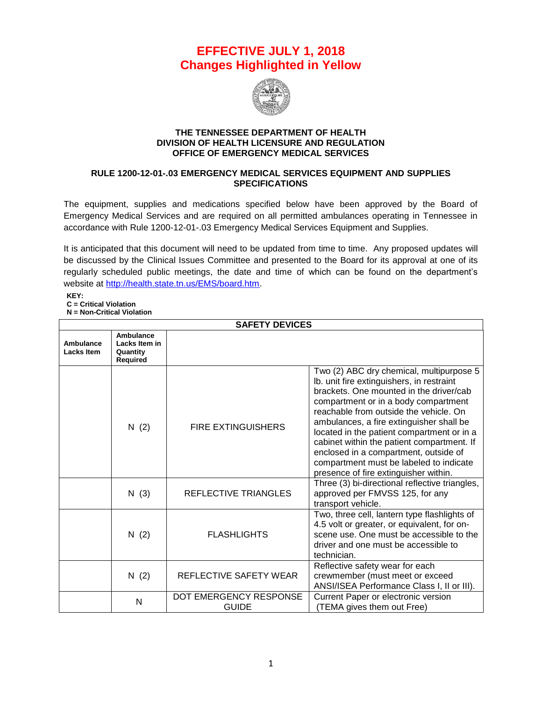## **EFFECTIVE JULY 1, 2018 Changes Highlighted in Yellow**



## **THE TENNESSEE DEPARTMENT OF HEALTH DIVISION OF HEALTH LICENSURE AND REGULATION OFFICE OF EMERGENCY MEDICAL SERVICES**

## **RULE 1200-12-01-.03 EMERGENCY MEDICAL SERVICES EQUIPMENT AND SUPPLIES SPECIFICATIONS**

The equipment, supplies and medications specified below have been approved by the Board of Emergency Medical Services and are required on all permitted ambulances operating in Tennessee in accordance with Rule 1200-12-01-.03 Emergency Medical Services Equipment and Supplies.

It is anticipated that this document will need to be updated from time to time. Any proposed updates will be discussed by the Clinical Issues Committee and presented to the Board for its approval at one of its regularly scheduled public meetings, the date and time of which can be found on the department's website at [http://health.state.tn.us/EMS/board.htm.](http://health.state.tn.us/EMS/board.htm)

**KEY: C = Critical Violation**

**N = Non-Critical Violation**

| <b>SAFETY DEVICES</b>          |                                                           |                                        |                                                                                                                                                                                                                                                                                                                                                                                                                                                                                         |
|--------------------------------|-----------------------------------------------------------|----------------------------------------|-----------------------------------------------------------------------------------------------------------------------------------------------------------------------------------------------------------------------------------------------------------------------------------------------------------------------------------------------------------------------------------------------------------------------------------------------------------------------------------------|
| Ambulance<br><b>Lacks Item</b> | Ambulance<br>Lacks Item in<br>Quantity<br><b>Required</b> |                                        |                                                                                                                                                                                                                                                                                                                                                                                                                                                                                         |
|                                | N(2)                                                      | <b>FIRE EXTINGUISHERS</b>              | Two (2) ABC dry chemical, multipurpose 5<br>Ib. unit fire extinguishers, in restraint<br>brackets. One mounted in the driver/cab<br>compartment or in a body compartment<br>reachable from outside the vehicle. On<br>ambulances, a fire extinguisher shall be<br>located in the patient compartment or in a<br>cabinet within the patient compartment. If<br>enclosed in a compartment, outside of<br>compartment must be labeled to indicate<br>presence of fire extinguisher within. |
|                                | N(3)                                                      | <b>REFLECTIVE TRIANGLES</b>            | Three (3) bi-directional reflective triangles,<br>approved per FMVSS 125, for any<br>transport vehicle.                                                                                                                                                                                                                                                                                                                                                                                 |
|                                | N(2)                                                      | <b>FLASHLIGHTS</b>                     | Two, three cell, lantern type flashlights of<br>4.5 volt or greater, or equivalent, for on-<br>scene use. One must be accessible to the<br>driver and one must be accessible to<br>technician.                                                                                                                                                                                                                                                                                          |
|                                | N(2)                                                      | REFLECTIVE SAFETY WEAR                 | Reflective safety wear for each<br>crewmember (must meet or exceed<br>ANSI/ISEA Performance Class I, II or III).                                                                                                                                                                                                                                                                                                                                                                        |
|                                | N                                                         | DOT EMERGENCY RESPONSE<br><b>GUIDE</b> | Current Paper or electronic version<br>(TEMA gives them out Free)                                                                                                                                                                                                                                                                                                                                                                                                                       |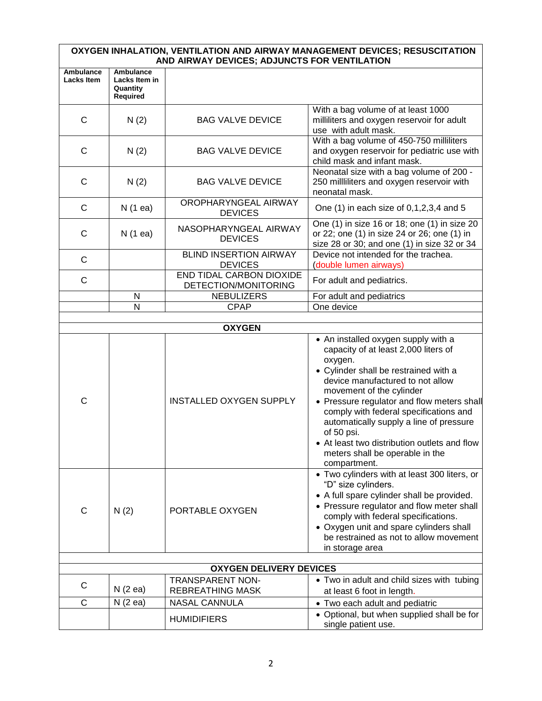## **OXYGEN INHALATION, VENTILATION AND AIRWAY MANAGEMENT DEVICES; RESUSCITATION AND AIRWAY DEVICES; ADJUNCTS FOR VENTILATION**

|                                       |                                                    | AND AINVAT DEVICES, ADJUNCTUTUR VENTIEATION               |                                                                                                                                                                                                                                                                                                                                                                                                                                                     |  |
|---------------------------------------|----------------------------------------------------|-----------------------------------------------------------|-----------------------------------------------------------------------------------------------------------------------------------------------------------------------------------------------------------------------------------------------------------------------------------------------------------------------------------------------------------------------------------------------------------------------------------------------------|--|
| <b>Ambulance</b><br><b>Lacks Item</b> | Ambulance<br>Lacks Item in<br>Quantity<br>Required |                                                           |                                                                                                                                                                                                                                                                                                                                                                                                                                                     |  |
| C                                     | N(2)                                               | <b>BAG VALVE DEVICE</b>                                   | With a bag volume of at least 1000<br>milliliters and oxygen reservoir for adult<br>use with adult mask.                                                                                                                                                                                                                                                                                                                                            |  |
| C                                     | N(2)                                               | <b>BAG VALVE DEVICE</b>                                   | With a bag volume of 450-750 milliliters<br>and oxygen reservoir for pediatric use with<br>child mask and infant mask.                                                                                                                                                                                                                                                                                                                              |  |
| C                                     | N(2)                                               | <b>BAG VALVE DEVICE</b>                                   | Neonatal size with a bag volume of 200 -<br>250 milliliters and oxygen reservoir with<br>neonatal mask.                                                                                                                                                                                                                                                                                                                                             |  |
| $\mathsf{C}$                          | N (1 ea)                                           | OROPHARYNGEAL AIRWAY<br><b>DEVICES</b>                    | One (1) in each size of 0,1,2,3,4 and 5                                                                                                                                                                                                                                                                                                                                                                                                             |  |
| С                                     | N(1 ea)                                            | NASOPHARYNGEAL AIRWAY<br><b>DEVICES</b>                   | One (1) in size 16 or 18; one (1) in size 20<br>or 22; one (1) in size 24 or 26; one (1) in<br>size 28 or 30; and one (1) in size 32 or 34                                                                                                                                                                                                                                                                                                          |  |
| C                                     |                                                    | <b>BLIND INSERTION AIRWAY</b><br><b>DEVICES</b>           | Device not intended for the trachea.<br>(double lumen airways)                                                                                                                                                                                                                                                                                                                                                                                      |  |
| C                                     |                                                    | <b>END TIDAL CARBON DIOXIDE</b><br>DETECTION/MONITORING   | For adult and pediatrics.                                                                                                                                                                                                                                                                                                                                                                                                                           |  |
|                                       | N                                                  | <b>NEBULIZERS</b>                                         | For adult and pediatrics                                                                                                                                                                                                                                                                                                                                                                                                                            |  |
|                                       | N                                                  | <b>CPAP</b>                                               | One device                                                                                                                                                                                                                                                                                                                                                                                                                                          |  |
|                                       |                                                    |                                                           |                                                                                                                                                                                                                                                                                                                                                                                                                                                     |  |
|                                       |                                                    | <b>OXYGEN</b>                                             |                                                                                                                                                                                                                                                                                                                                                                                                                                                     |  |
| C                                     |                                                    | <b>INSTALLED OXYGEN SUPPLY</b>                            | • An installed oxygen supply with a<br>capacity of at least 2,000 liters of<br>oxygen.<br>• Cylinder shall be restrained with a<br>device manufactured to not allow<br>movement of the cylinder<br>• Pressure regulator and flow meters shall<br>comply with federal specifications and<br>automatically supply a line of pressure<br>of 50 psi.<br>• At least two distribution outlets and flow<br>meters shall be operable in the<br>compartment. |  |
| $\mathsf{C}$                          | N(2)                                               | PORTABLE OXYGEN                                           | • Two cylinders with at least 300 liters, or<br>"D" size cylinders.<br>• A full spare cylinder shall be provided.<br>• Pressure regulator and flow meter shall<br>comply with federal specifications.<br>• Oxygen unit and spare cylinders shall<br>be restrained as not to allow movement<br>in storage area                                                                                                                                       |  |
|                                       |                                                    |                                                           |                                                                                                                                                                                                                                                                                                                                                                                                                                                     |  |
|                                       |                                                    | <b>OXYGEN DELIVERY DEVICES</b><br><b>TRANSPARENT NON-</b> | • Two in adult and child sizes with tubing                                                                                                                                                                                                                                                                                                                                                                                                          |  |
| С                                     | N(2 ea)                                            | <b>REBREATHING MASK</b>                                   | at least 6 foot in length.                                                                                                                                                                                                                                                                                                                                                                                                                          |  |
| C                                     | N(2 ea)                                            | <b>NASAL CANNULA</b>                                      | • Two each adult and pediatric                                                                                                                                                                                                                                                                                                                                                                                                                      |  |
|                                       |                                                    | <b>HUMIDIFIERS</b>                                        | • Optional, but when supplied shall be for<br>single patient use.                                                                                                                                                                                                                                                                                                                                                                                   |  |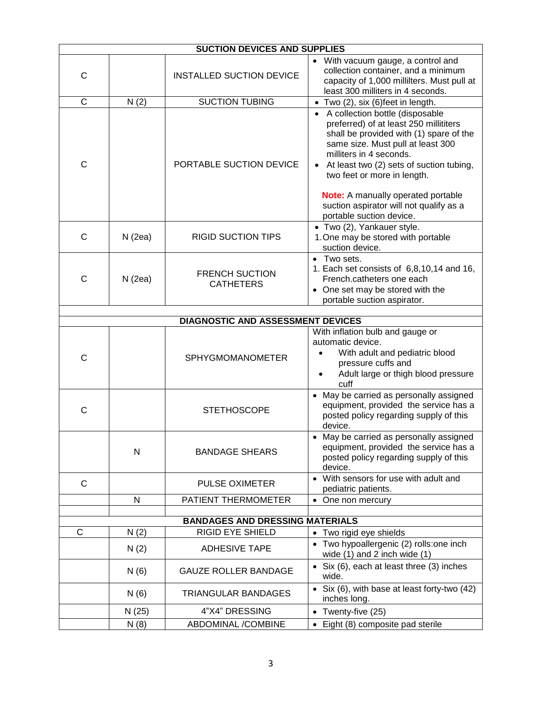| <b>SUCTION DEVICES AND SUPPLIES</b> |        |                                           |                                                                                                                                                                                                                                                                                                                                                                                     |  |  |
|-------------------------------------|--------|-------------------------------------------|-------------------------------------------------------------------------------------------------------------------------------------------------------------------------------------------------------------------------------------------------------------------------------------------------------------------------------------------------------------------------------------|--|--|
| $\mathsf{C}$                        |        | <b>INSTALLED SUCTION DEVICE</b>           | • With vacuum gauge, a control and<br>collection container, and a minimum<br>capacity of 1,000 millilters. Must pull at<br>least 300 milliters in 4 seconds.                                                                                                                                                                                                                        |  |  |
| $\mathsf{C}$                        | N(2)   | <b>SUCTION TUBING</b>                     | • Two (2), six (6)feet in length.                                                                                                                                                                                                                                                                                                                                                   |  |  |
| C                                   |        | PORTABLE SUCTION DEVICE                   | A collection bottle (disposable<br>preferred) of at least 250 millititers<br>shall be provided with (1) spare of the<br>same size. Must pull at least 300<br>milliters in 4 seconds.<br>At least two (2) sets of suction tubing,<br>two feet or more in length.<br><b>Note:</b> A manually operated portable<br>suction aspirator will not qualify as a<br>portable suction device. |  |  |
| C                                   | N(2ea) | <b>RIGID SUCTION TIPS</b>                 | • Two (2), Yankauer style.<br>1. One may be stored with portable<br>suction device.                                                                                                                                                                                                                                                                                                 |  |  |
| $\mathsf{C}$                        | N(2ea) | <b>FRENCH SUCTION</b><br><b>CATHETERS</b> | • Two sets.<br>1. Each set consists of 6,8,10,14 and 16,<br>French.catheters one each<br>One set may be stored with the<br>portable suction aspirator.                                                                                                                                                                                                                              |  |  |
|                                     |        |                                           |                                                                                                                                                                                                                                                                                                                                                                                     |  |  |
|                                     |        | DIAGNOSTIC AND ASSESSMENT DEVICES         |                                                                                                                                                                                                                                                                                                                                                                                     |  |  |
| C                                   |        | <b>SPHYGMOMANOMETER</b>                   | With inflation bulb and gauge or<br>automatic device.<br>With adult and pediatric blood<br>pressure cuffs and<br>Adult large or thigh blood pressure<br>cuff                                                                                                                                                                                                                        |  |  |
| C                                   |        | <b>STETHOSCOPE</b>                        | • May be carried as personally assigned<br>equipment, provided the service has a<br>posted policy regarding supply of this<br>device.                                                                                                                                                                                                                                               |  |  |
|                                     | N      | <b>BANDAGE SHEARS</b>                     | May be carried as personally assigned<br>equipment, provided the service has a<br>posted policy regarding supply of this<br>device.                                                                                                                                                                                                                                                 |  |  |
| С                                   |        | <b>PULSE OXIMETER</b>                     | • With sensors for use with adult and<br>pediatric patients.                                                                                                                                                                                                                                                                                                                        |  |  |
|                                     | N      | PATIENT THERMOMETER                       | • One non mercury                                                                                                                                                                                                                                                                                                                                                                   |  |  |
|                                     |        | <b>BANDAGES AND DRESSING MATERIALS</b>    |                                                                                                                                                                                                                                                                                                                                                                                     |  |  |
| C                                   | N(2)   | <b>RIGID EYE SHIELD</b>                   | • Two rigid eye shields                                                                                                                                                                                                                                                                                                                                                             |  |  |
|                                     | N(2)   | <b>ADHESIVE TAPE</b>                      | • Two hypoallergenic (2) rolls: one inch<br>wide $(1)$ and 2 inch wide $(1)$                                                                                                                                                                                                                                                                                                        |  |  |
|                                     | N(6)   | <b>GAUZE ROLLER BANDAGE</b>               | • Six $(6)$ , each at least three $(3)$ inches<br>wide.                                                                                                                                                                                                                                                                                                                             |  |  |
|                                     | N(6)   | TRIANGULAR BANDAGES                       | • Six (6), with base at least forty-two (42)<br>inches long.                                                                                                                                                                                                                                                                                                                        |  |  |
|                                     | N (25) | 4"X4" DRESSING                            | • Twenty-five $(25)$                                                                                                                                                                                                                                                                                                                                                                |  |  |
|                                     | N(8)   | ABDOMINAL /COMBINE                        | • Eight (8) composite pad sterile                                                                                                                                                                                                                                                                                                                                                   |  |  |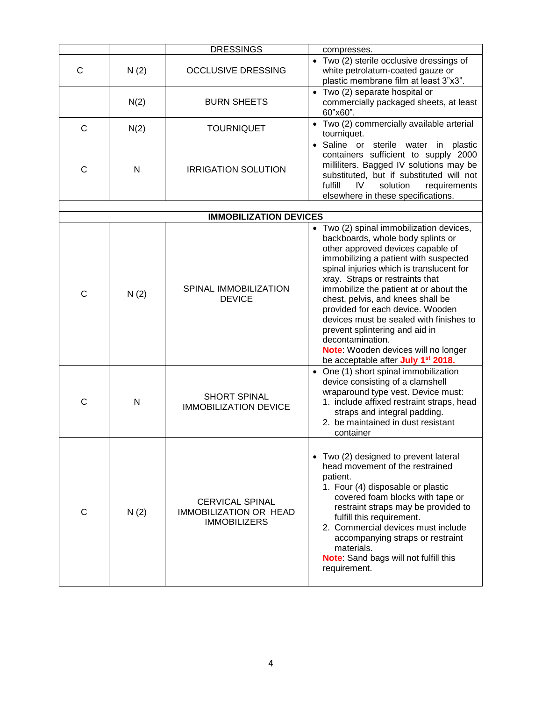|              |      | <b>DRESSINGS</b>                                                               | compresses.                                                                                                                                                                                                                                                                                                                                                                                                                                                                                                                                             |
|--------------|------|--------------------------------------------------------------------------------|---------------------------------------------------------------------------------------------------------------------------------------------------------------------------------------------------------------------------------------------------------------------------------------------------------------------------------------------------------------------------------------------------------------------------------------------------------------------------------------------------------------------------------------------------------|
| С            | N(2) | <b>OCCLUSIVE DRESSING</b>                                                      | • Two (2) sterile occlusive dressings of<br>white petrolatum-coated gauze or<br>plastic membrane film at least 3"x3".                                                                                                                                                                                                                                                                                                                                                                                                                                   |
|              | N(2) | <b>BURN SHEETS</b>                                                             | • Two (2) separate hospital or<br>commercially packaged sheets, at least<br>60"x60".                                                                                                                                                                                                                                                                                                                                                                                                                                                                    |
| $\mathsf{C}$ | N(2) | <b>TOURNIQUET</b>                                                              | • Two (2) commercially available arterial<br>tourniquet.                                                                                                                                                                                                                                                                                                                                                                                                                                                                                                |
| C            | N    | <b>IRRIGATION SOLUTION</b>                                                     | Saline or sterile water in plastic<br>containers sufficient to supply 2000<br>milliliters. Bagged IV solutions may be<br>substituted, but if substituted will not<br>fulfill<br>IV.<br>solution<br>requirements<br>elsewhere in these specifications.                                                                                                                                                                                                                                                                                                   |
|              |      | <b>IMMOBILIZATION DEVICES</b>                                                  |                                                                                                                                                                                                                                                                                                                                                                                                                                                                                                                                                         |
| C            | N(2) | SPINAL IMMOBILIZATION<br><b>DEVICE</b>                                         | • Two (2) spinal immobilization devices,<br>backboards, whole body splints or<br>other approved devices capable of<br>immobilizing a patient with suspected<br>spinal injuries which is translucent for<br>xray. Straps or restraints that<br>immobilize the patient at or about the<br>chest, pelvis, and knees shall be<br>provided for each device. Wooden<br>devices must be sealed with finishes to<br>prevent splintering and aid in<br>decontamination.<br>Note: Wooden devices will no longer<br>be acceptable after July 1 <sup>st</sup> 2018. |
| C            | N    | <b>SHORT SPINAL</b><br><b>IMMOBILIZATION DEVICE</b>                            | • One (1) short spinal immobilization<br>device consisting of a clamshell<br>wraparound type vest. Device must:<br>1. include affixed restraint straps, head<br>straps and integral padding.<br>2. be maintained in dust resistant<br>container                                                                                                                                                                                                                                                                                                         |
| С            | N(2) | <b>CERVICAL SPINAL</b><br><b>IMMOBILIZATION OR HEAD</b><br><b>IMMOBILIZERS</b> | • Two (2) designed to prevent lateral<br>head movement of the restrained<br>patient.<br>1. Four (4) disposable or plastic<br>covered foam blocks with tape or<br>restraint straps may be provided to<br>fulfill this requirement.<br>2. Commercial devices must include<br>accompanying straps or restraint<br>materials.<br>Note: Sand bags will not fulfill this<br>requirement.                                                                                                                                                                      |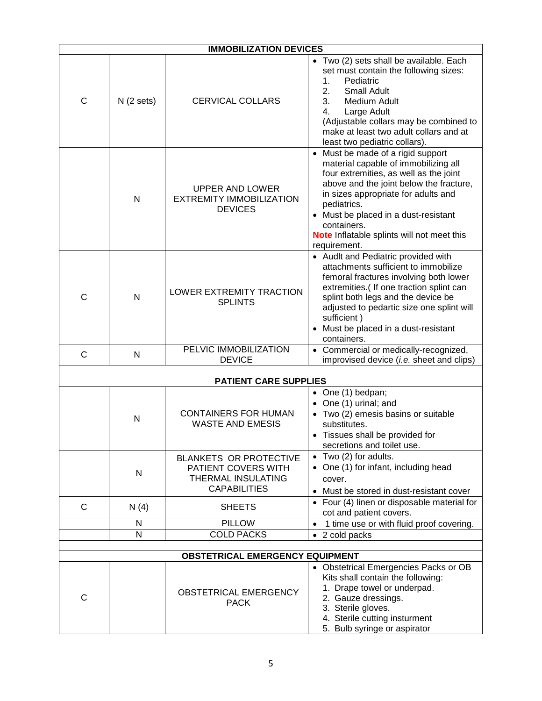|                              |              | <b>IMMOBILIZATION DEVICES</b>                                                                     |                                                                                                                                                                                                                                                                                                                                           |  |  |
|------------------------------|--------------|---------------------------------------------------------------------------------------------------|-------------------------------------------------------------------------------------------------------------------------------------------------------------------------------------------------------------------------------------------------------------------------------------------------------------------------------------------|--|--|
| C                            | N(2 sets)    | <b>CERVICAL COLLARS</b>                                                                           | • Two (2) sets shall be available. Each<br>set must contain the following sizes:<br>Pediatric<br>1.<br>2.<br><b>Small Adult</b><br>3.<br>Medium Adult<br>Large Adult<br>4.<br>(Adjustable collars may be combined to<br>make at least two adult collars and at<br>least two pediatric collars).                                           |  |  |
|                              | $\mathsf{N}$ | UPPER AND LOWER<br><b>EXTREMITY IMMOBILIZATION</b><br><b>DEVICES</b>                              | • Must be made of a rigid support<br>material capable of immobilizing all<br>four extremities, as well as the joint<br>above and the joint below the fracture,<br>in sizes appropriate for adults and<br>pediatrics.<br>• Must be placed in a dust-resistant<br>containers.<br>Note Inflatable splints will not meet this<br>requirement. |  |  |
| C                            | N            | LOWER EXTREMITY TRACTION<br><b>SPLINTS</b>                                                        | • Audlt and Pediatric provided with<br>attachments sufficient to immobilize<br>femoral fractures involving both lower<br>extremities.( If one traction splint can<br>splint both legs and the device be<br>adjusted to pedartic size one splint will<br>sufficient)<br>• Must be placed in a dust-resistant<br>containers.                |  |  |
| $\mathsf{C}$                 | N            | PELVIC IMMOBILIZATION<br><b>DEVICE</b>                                                            | • Commercial or medically-recognized,<br>improvised device (i.e. sheet and clips)                                                                                                                                                                                                                                                         |  |  |
| <b>PATIENT CARE SUPPLIES</b> |              |                                                                                                   |                                                                                                                                                                                                                                                                                                                                           |  |  |
|                              | N            | <b>CONTAINERS FOR HUMAN</b><br><b>WASTE AND EMESIS</b>                                            | • One (1) bedpan;<br>One (1) urinal; and<br>• Two (2) emesis basins or suitable<br>substitutes.<br>Tissues shall be provided for<br>$\bullet$<br>secretions and toilet use.                                                                                                                                                               |  |  |
|                              | N            | <b>BLANKETS OR PROTECTIVE</b><br>PATIENT COVERS WITH<br>THERMAL INSULATING<br><b>CAPABILITIES</b> | $\bullet$ Two (2) for adults.<br>• One (1) for infant, including head<br>cover.<br>• Must be stored in dust-resistant cover                                                                                                                                                                                                               |  |  |
| $\mathsf{C}$                 | N(4)         | <b>SHEETS</b>                                                                                     | • Four (4) linen or disposable material for<br>cot and patient covers.                                                                                                                                                                                                                                                                    |  |  |
|                              | N            | <b>PILLOW</b>                                                                                     | 1 time use or with fluid proof covering.<br>$\bullet$                                                                                                                                                                                                                                                                                     |  |  |
|                              | N            | <b>COLD PACKS</b>                                                                                 | • 2 cold packs                                                                                                                                                                                                                                                                                                                            |  |  |
|                              |              |                                                                                                   |                                                                                                                                                                                                                                                                                                                                           |  |  |
|                              |              | <b>OBSTETRICAL EMERGENCY EQUIPMENT</b>                                                            | • Obstetrical Emergencies Packs or OB                                                                                                                                                                                                                                                                                                     |  |  |
| C                            |              | OBSTETRICAL EMERGENCY<br><b>PACK</b>                                                              | Kits shall contain the following:<br>1. Drape towel or underpad.<br>2. Gauze dressings.<br>3. Sterile gloves.<br>4. Sterile cutting insturment<br>5. Bulb syringe or aspirator                                                                                                                                                            |  |  |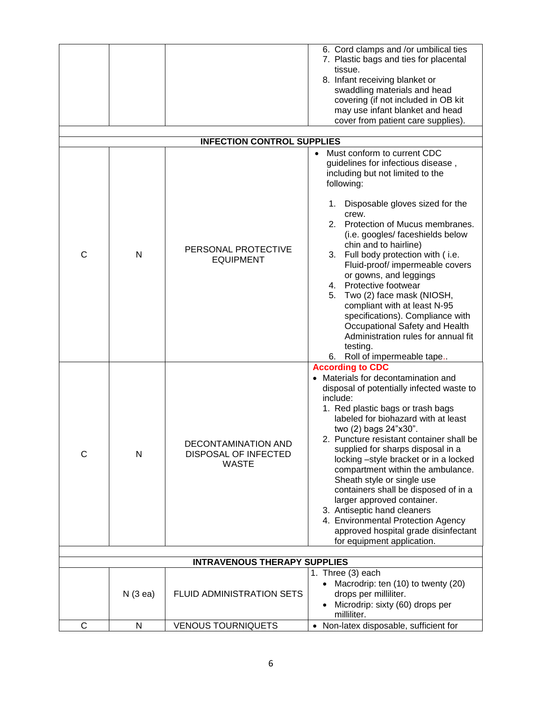|              |                                     |                                                                    | 6. Cord clamps and /or umbilical ties                                                                                                                                                                                                                                                                                                                                                                                                                                                                                                                                                                                                      |  |  |
|--------------|-------------------------------------|--------------------------------------------------------------------|--------------------------------------------------------------------------------------------------------------------------------------------------------------------------------------------------------------------------------------------------------------------------------------------------------------------------------------------------------------------------------------------------------------------------------------------------------------------------------------------------------------------------------------------------------------------------------------------------------------------------------------------|--|--|
|              |                                     |                                                                    | 7. Plastic bags and ties for placental<br>tissue.<br>8. Infant receiving blanket or<br>swaddling materials and head<br>covering (if not included in OB kit<br>may use infant blanket and head                                                                                                                                                                                                                                                                                                                                                                                                                                              |  |  |
|              |                                     |                                                                    | cover from patient care supplies).                                                                                                                                                                                                                                                                                                                                                                                                                                                                                                                                                                                                         |  |  |
|              |                                     | <b>INFECTION CONTROL SUPPLIES</b>                                  |                                                                                                                                                                                                                                                                                                                                                                                                                                                                                                                                                                                                                                            |  |  |
| C            | N                                   | PERSONAL PROTECTIVE<br><b>EQUIPMENT</b>                            | Must conform to current CDC<br>guidelines for infectious disease,<br>including but not limited to the<br>following:<br>1. Disposable gloves sized for the<br>crew.<br>2. Protection of Mucus membranes.<br>(i.e. googles/ faceshields below<br>chin and to hairline)<br>3. Full body protection with (i.e.<br>Fluid-proof/ impermeable covers<br>or gowns, and leggings<br>4. Protective footwear<br>Two (2) face mask (NIOSH,<br>5.<br>compliant with at least N-95<br>specifications). Compliance with<br>Occupational Safety and Health<br>Administration rules for annual fit<br>testing.<br>6. Roll of impermeable tape               |  |  |
| $\mathsf{C}$ | N                                   | DECONTAMINATION AND<br><b>DISPOSAL OF INFECTED</b><br><b>WASTE</b> | <b>According to CDC</b><br>• Materials for decontamination and<br>disposal of potentially infected waste to<br>include:<br>1. Red plastic bags or trash bags<br>labeled for biohazard with at least<br>two (2) bags 24"x30".<br>2. Puncture resistant container shall be<br>supplied for sharps disposal in a<br>locking -style bracket or in a locked<br>compartment within the ambulance.<br>Sheath style or single use<br>containers shall be disposed of in a<br>larger approved container.<br>3. Antiseptic hand cleaners<br>4. Environmental Protection Agency<br>approved hospital grade disinfectant<br>for equipment application. |  |  |
|              | <b>INTRAVENOUS THERAPY SUPPLIES</b> |                                                                    |                                                                                                                                                                                                                                                                                                                                                                                                                                                                                                                                                                                                                                            |  |  |
|              |                                     |                                                                    | 1. Three (3) each<br>Macrodrip: ten (10) to twenty (20)                                                                                                                                                                                                                                                                                                                                                                                                                                                                                                                                                                                    |  |  |
|              | N(3 ea)                             | FLUID ADMINISTRATION SETS                                          | drops per milliliter.<br>Microdrip: sixty (60) drops per<br>milliliter.                                                                                                                                                                                                                                                                                                                                                                                                                                                                                                                                                                    |  |  |
| C            | N                                   | <b>VENOUS TOURNIQUETS</b>                                          | • Non-latex disposable, sufficient for                                                                                                                                                                                                                                                                                                                                                                                                                                                                                                                                                                                                     |  |  |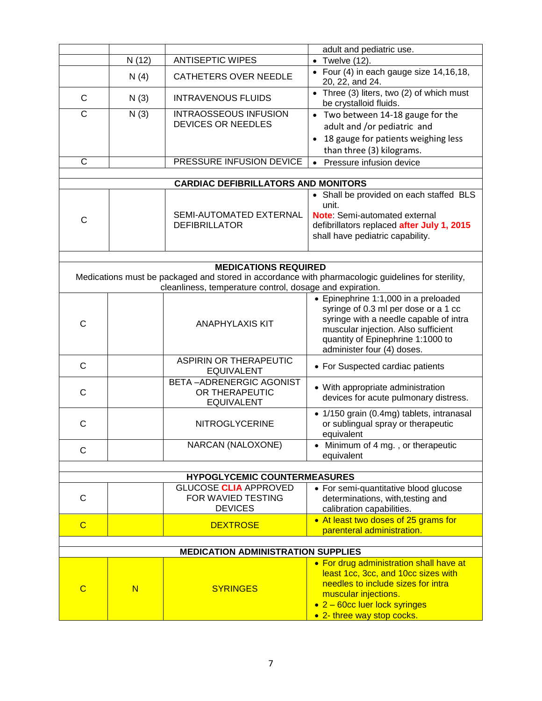|                |                                     |                                                                       | adult and pediatric use.                                                                                                                                                                                                         |  |  |
|----------------|-------------------------------------|-----------------------------------------------------------------------|----------------------------------------------------------------------------------------------------------------------------------------------------------------------------------------------------------------------------------|--|--|
|                | N(12)                               | <b>ANTISEPTIC WIPES</b>                                               | $\bullet$ Twelve (12).                                                                                                                                                                                                           |  |  |
|                | N(4)                                | <b>CATHETERS OVER NEEDLE</b>                                          | • Four (4) in each gauge size $14,16,18$ ,<br>20, 22, and 24.                                                                                                                                                                    |  |  |
| C              | N(3)                                | <b>INTRAVENOUS FLUIDS</b>                                             | • Three (3) liters, two (2) of which must<br>be crystalloid fluids.                                                                                                                                                              |  |  |
| $\mathsf{C}$   | N(3)                                | <b>INTRAOSSEOUS INFUSION</b><br><b>DEVICES OR NEEDLES</b>             | • Two between 14-18 gauge for the<br>adult and /or pediatric and<br>18 gauge for patients weighing less<br>than three (3) kilograms.                                                                                             |  |  |
| $\mathsf{C}$   |                                     | PRESSURE INFUSION DEVICE                                              | Pressure infusion device<br>$\bullet$                                                                                                                                                                                            |  |  |
|                |                                     |                                                                       |                                                                                                                                                                                                                                  |  |  |
|                |                                     | <b>CARDIAC DEFIBRILLATORS AND MONITORS</b>                            |                                                                                                                                                                                                                                  |  |  |
| $\mathsf{C}$   |                                     | SEMI-AUTOMATED EXTERNAL<br><b>DEFIBRILLATOR</b>                       | • Shall be provided on each staffed BLS<br>unit.<br>Note: Semi-automated external<br>defibrillators replaced after July 1, 2015<br>shall have pediatric capability.                                                              |  |  |
|                |                                     |                                                                       |                                                                                                                                                                                                                                  |  |  |
|                |                                     | <b>MEDICATIONS REQUIRED</b>                                           |                                                                                                                                                                                                                                  |  |  |
|                |                                     | cleanliness, temperature control, dosage and expiration.              | Medications must be packaged and stored in accordance with pharmacologic guidelines for sterility,                                                                                                                               |  |  |
| C              |                                     | <b>ANAPHYLAXIS KIT</b>                                                | • Epinephrine 1:1,000 in a preloaded<br>syringe of 0.3 ml per dose or a 1 cc<br>syringe with a needle capable of intra<br>muscular injection. Also sufficient<br>quantity of Epinephrine 1:1000 to<br>administer four (4) doses. |  |  |
| $\mathsf{C}$   |                                     | <b>ASPIRIN OR THERAPEUTIC</b><br><b>EQUIVALENT</b>                    | • For Suspected cardiac patients                                                                                                                                                                                                 |  |  |
| C              |                                     | <b>BETA-ADRENERGIC AGONIST</b><br>OR THERAPEUTIC<br><b>EQUIVALENT</b> | • With appropriate administration<br>devices for acute pulmonary distress.                                                                                                                                                       |  |  |
| C              |                                     | <b>NITROGLYCERINE</b>                                                 | · 1/150 grain (0.4mg) tablets, intranasal<br>or sublingual spray or therapeutic<br>equivalent                                                                                                                                    |  |  |
| $\mathsf{C}$   |                                     | NARCAN (NALOXONE)                                                     | • Minimum of 4 mg., or therapeutic<br>equivalent                                                                                                                                                                                 |  |  |
|                |                                     |                                                                       |                                                                                                                                                                                                                                  |  |  |
|                | <b>HYPOGLYCEMIC COUNTERMEASURES</b> |                                                                       |                                                                                                                                                                                                                                  |  |  |
| C              |                                     | <b>GLUCOSE CLIA APPROVED</b><br>FOR WAVIED TESTING<br><b>DEVICES</b>  | • For semi-quantitative blood glucose<br>determinations, with, testing and<br>calibration capabilities.                                                                                                                          |  |  |
| $\overline{C}$ |                                     | <b>DEXTROSE</b>                                                       | • At least two doses of 25 grams for<br>parenteral administration.                                                                                                                                                               |  |  |
|                |                                     |                                                                       |                                                                                                                                                                                                                                  |  |  |
|                |                                     | <b>MEDICATION ADMINISTRATION SUPPLIES</b>                             |                                                                                                                                                                                                                                  |  |  |
| $\mathbf C$    | N                                   | <b>SYRINGES</b>                                                       | • For drug administration shall have at<br>least 1cc, 3cc, and 10cc sizes with<br>needles to include sizes for intra<br>muscular injections.<br>• 2 – 60cc luer lock syringes<br>• 2- three way stop cocks.                      |  |  |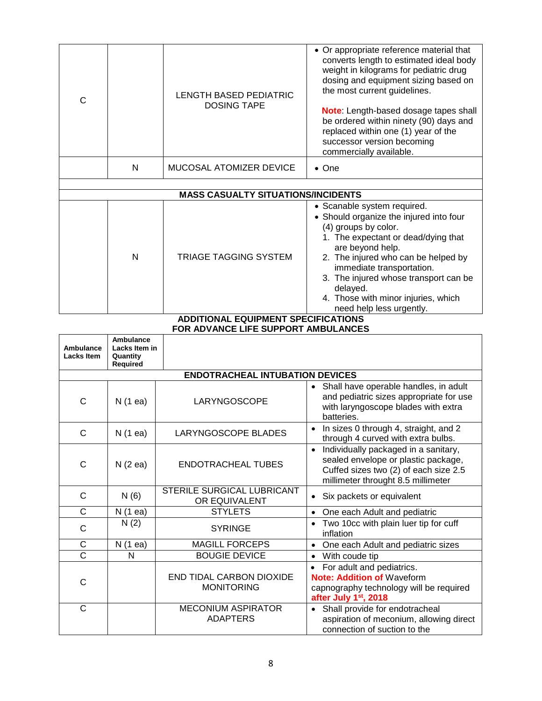| C                                      |                                                    | <b>LENGTH BASED PEDIATRIC</b><br><b>DOSING TAPE</b> | • Or appropriate reference material that<br>converts length to estimated ideal body<br>weight in kilograms for pediatric drug<br>dosing and equipment sizing based on<br>the most current guidelines.<br>Note: Length-based dosage tapes shall<br>be ordered within ninety (90) days and<br>replaced within one (1) year of the<br>successor version becoming<br>commercially available. |  |  |
|----------------------------------------|----------------------------------------------------|-----------------------------------------------------|------------------------------------------------------------------------------------------------------------------------------------------------------------------------------------------------------------------------------------------------------------------------------------------------------------------------------------------------------------------------------------------|--|--|
|                                        | N                                                  | MUCOSAL ATOMIZER DEVICE                             | $\bullet$ One                                                                                                                                                                                                                                                                                                                                                                            |  |  |
|                                        |                                                    | <b>MASS CASUALTY SITUATIONS/INCIDENTS</b>           |                                                                                                                                                                                                                                                                                                                                                                                          |  |  |
|                                        | N                                                  | <b>TRIAGE TAGGING SYSTEM</b>                        | • Scanable system required.<br>• Should organize the injured into four<br>(4) groups by color.<br>1. The expectant or dead/dying that<br>are beyond help.<br>2. The injured who can be helped by<br>immediate transportation.<br>3. The injured whose transport can be<br>delayed.<br>4. Those with minor injuries, which<br>need help less urgently.                                    |  |  |
|                                        | <b>ADDITIONAL EQUIPMENT SPECIFICATIONS</b>         |                                                     |                                                                                                                                                                                                                                                                                                                                                                                          |  |  |
|                                        |                                                    | FOR ADVANCE LIFE SUPPORT AMBULANCES                 |                                                                                                                                                                                                                                                                                                                                                                                          |  |  |
| Ambulance<br>Lacks Item                | Ambulance<br>Lacks Item in<br>Quantity<br>Required |                                                     |                                                                                                                                                                                                                                                                                                                                                                                          |  |  |
| <b>ENDOTRACHEAL INTUBATION DEVICES</b> |                                                    |                                                     |                                                                                                                                                                                                                                                                                                                                                                                          |  |  |
| C                                      | N(1 ea)                                            | LARYNGOSCOPE                                        | Shall have operable handles, in adult<br>and pediatric sizes appropriate for use<br>with laryngoscope blades with extra<br>batteries.                                                                                                                                                                                                                                                    |  |  |
| С                                      | N(1 ea)                                            | LARYNGOSCOPE BLADES                                 | In sizes 0 through 4, straight, and 2<br>through 4 curved with extra bulbs.                                                                                                                                                                                                                                                                                                              |  |  |
| $\mathsf C$                            | N(2 ea)                                            | <b>ENDOTRACHEAL TUBES</b>                           | Individually packaged in a sanitary,<br>sealed envelope or plastic package,<br>Cuffed sizes two (2) of each size 2.5<br>millimeter throught 8.5 millimeter                                                                                                                                                                                                                               |  |  |
| $\mathsf{C}$                           | N(6)                                               | <b>STERILE SURGICAL LUBRICANT</b><br>OR EQUIVALENT  | • Six packets or equivalent                                                                                                                                                                                                                                                                                                                                                              |  |  |
| C                                      | N (1 ea)                                           | <b>STYLETS</b>                                      | One each Adult and pediatric<br>$\bullet$                                                                                                                                                                                                                                                                                                                                                |  |  |
| $\mathsf C$                            | N(2)                                               | <b>SYRINGE</b>                                      | • Two 10cc with plain luer tip for cuff<br>inflation                                                                                                                                                                                                                                                                                                                                     |  |  |
| $\mathsf{C}$                           | N(1 ea)                                            | <b>MAGILL FORCEPS</b>                               | One each Adult and pediatric sizes<br>$\bullet$                                                                                                                                                                                                                                                                                                                                          |  |  |
| $\overline{\text{c}}$                  | N                                                  | <b>BOUGIE DEVICE</b>                                | With coude tip                                                                                                                                                                                                                                                                                                                                                                           |  |  |
| $\mathsf{C}$                           |                                                    | END TIDAL CARBON DIOXIDE<br><b>MONITORING</b>       | For adult and pediatrics.<br><b>Note: Addition of Waveform</b><br>capnography technology will be required<br>after July 1 <sup>st</sup> , 2018                                                                                                                                                                                                                                           |  |  |
|                                        |                                                    | MECONILIM ACDIDATOR                                 |                                                                                                                                                                                                                                                                                                                                                                                          |  |  |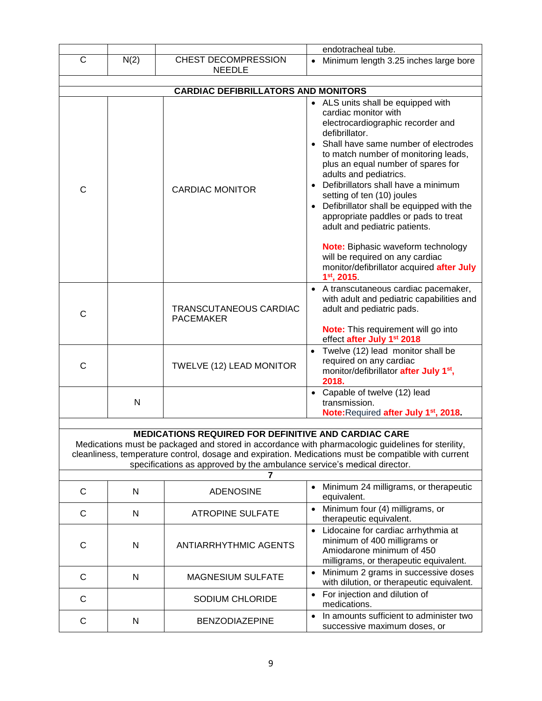|                                                             |                                                                                                                                                                                                            |                                                                              | endotracheal tube.                                                                                                                           |  |  |
|-------------------------------------------------------------|------------------------------------------------------------------------------------------------------------------------------------------------------------------------------------------------------------|------------------------------------------------------------------------------|----------------------------------------------------------------------------------------------------------------------------------------------|--|--|
| C                                                           | N(2)                                                                                                                                                                                                       | CHEST DECOMPRESSION<br><b>NEEDLE</b>                                         | • Minimum length 3.25 inches large bore                                                                                                      |  |  |
|                                                             |                                                                                                                                                                                                            | <b>CARDIAC DEFIBRILLATORS AND MONITORS</b>                                   |                                                                                                                                              |  |  |
|                                                             |                                                                                                                                                                                                            |                                                                              |                                                                                                                                              |  |  |
|                                                             |                                                                                                                                                                                                            |                                                                              | • ALS units shall be equipped with<br>cardiac monitor with<br>electrocardiographic recorder and                                              |  |  |
|                                                             |                                                                                                                                                                                                            |                                                                              | defibrillator.<br>Shall have same number of electrodes<br>$\bullet$                                                                          |  |  |
|                                                             |                                                                                                                                                                                                            |                                                                              | to match number of monitoring leads,<br>plus an equal number of spares for<br>adults and pediatrics.                                         |  |  |
| C                                                           |                                                                                                                                                                                                            | <b>CARDIAC MONITOR</b>                                                       | • Defibrillators shall have a minimum<br>setting of ten (10) joules                                                                          |  |  |
|                                                             |                                                                                                                                                                                                            |                                                                              | • Defibrillator shall be equipped with the<br>appropriate paddles or pads to treat<br>adult and pediatric patients.                          |  |  |
|                                                             |                                                                                                                                                                                                            |                                                                              | Note: Biphasic waveform technology<br>will be required on any cardiac<br>monitor/defibrillator acquired after July<br>$1st$ , 2015.          |  |  |
| C                                                           |                                                                                                                                                                                                            | TRANSCUTANEOUS CARDIAC<br><b>PACEMAKER</b>                                   | • A transcutaneous cardiac pacemaker,<br>with adult and pediatric capabilities and<br>adult and pediatric pads.                              |  |  |
|                                                             |                                                                                                                                                                                                            |                                                                              | <b>Note:</b> This requirement will go into<br>effect after July 1st 2018                                                                     |  |  |
| $\mathsf{C}$                                                |                                                                                                                                                                                                            | TWELVE (12) LEAD MONITOR                                                     | Twelve (12) lead monitor shall be<br>$\bullet$<br>required on any cardiac<br>monitor/defibrillator after July 1 <sup>st</sup> ,<br>2018.     |  |  |
|                                                             | N                                                                                                                                                                                                          |                                                                              | • Capable of twelve (12) lead<br>transmission.                                                                                               |  |  |
|                                                             |                                                                                                                                                                                                            |                                                                              | Note: Required after July 1 <sup>st</sup> , 2018.                                                                                            |  |  |
| <b>MEDICATIONS REQUIRED FOR DEFINITIVE AND CARDIAC CARE</b> |                                                                                                                                                                                                            |                                                                              |                                                                                                                                              |  |  |
|                                                             | Medications must be packaged and stored in accordance with pharmacologic guidelines for sterility,<br>cleanliness, temperature control, dosage and expiration. Medications must be compatible with current |                                                                              |                                                                                                                                              |  |  |
|                                                             |                                                                                                                                                                                                            | specifications as approved by the ambulance service's medical director.<br>7 |                                                                                                                                              |  |  |
| $\mathsf{C}$                                                | N                                                                                                                                                                                                          | <b>ADENOSINE</b>                                                             | • Minimum 24 milligrams, or therapeutic<br>equivalent.                                                                                       |  |  |
| C                                                           | N                                                                                                                                                                                                          | <b>ATROPINE SULFATE</b>                                                      | Minimum four (4) milligrams, or<br>therapeutic equivalent.                                                                                   |  |  |
| C                                                           | N                                                                                                                                                                                                          | <b>ANTIARRHYTHMIC AGENTS</b>                                                 | • Lidocaine for cardiac arrhythmia at<br>minimum of 400 milligrams or<br>Amiodarone minimum of 450<br>milligrams, or therapeutic equivalent. |  |  |
| C                                                           | N                                                                                                                                                                                                          | MAGNESIUM SULFATE                                                            | Minimum 2 grams in successive doses<br>$\bullet$<br>with dilution, or therapeutic equivalent.                                                |  |  |
| $\mathsf{C}$                                                |                                                                                                                                                                                                            | SODIUM CHLORIDE                                                              | For injection and dilution of<br>medications.                                                                                                |  |  |
| C                                                           | N                                                                                                                                                                                                          | <b>BENZODIAZEPINE</b>                                                        | In amounts sufficient to administer two<br>successive maximum doses, or                                                                      |  |  |